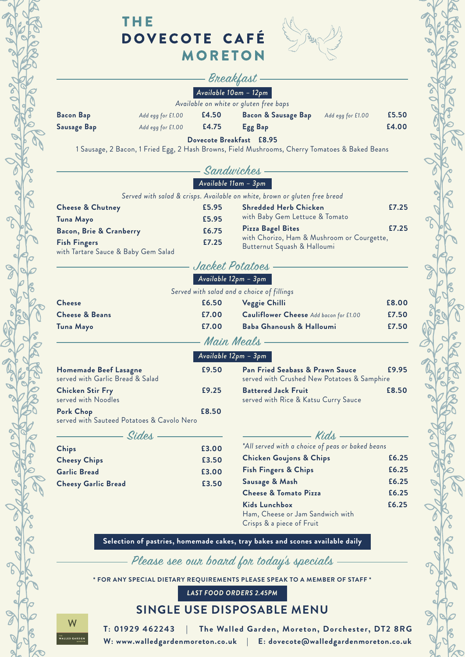

## THE DOVECOTE CAFÉ **MORETON**



### Breakfast *Available 10am – 12pm*

#### *Available on white or gluten free baps*

| <b>Bacon Bap</b> | Add egg for £1.00 | £4.50 | <b>Bacon &amp; Sausage Bap</b> Add egg for £1.00 |  | £5.50 |  |
|------------------|-------------------|-------|--------------------------------------------------|--|-------|--|
| Sausage Bap      | Add egg for £1.00 | E4.75 | Egg Bap                                          |  | £4.00 |  |
|                  |                   |       |                                                  |  |       |  |

**Dovecote Breakfast £8.95**

1 Sausage, 2 Bacon, 1 Fried Egg, 2 Hash Browns, Field Mushrooms, Cherry Tomatoes & Baked Beans

|                                                                    |       | Sandwiches                                                                                         |       |
|--------------------------------------------------------------------|-------|----------------------------------------------------------------------------------------------------|-------|
|                                                                    |       | Available 11am - 3pm                                                                               |       |
|                                                                    |       | Served with salad & crisps. Available on white, brown or gluten free bread                         |       |
| <b>Cheese &amp; Chutney</b>                                        | £5.95 | <b>Shredded Herb Chicken</b>                                                                       | £7.25 |
| Tuna Mayo                                                          | £5.95 | with Baby Gem Lettuce & Tomato                                                                     |       |
| £6.75<br>Bacon, Brie & Cranberry                                   |       | £7.25<br><b>Pizza Bagel Bites</b>                                                                  |       |
| <b>Fish Fingers</b><br>with Tartare Sauce & Baby Gem Salad         | £7.25 | with Chorizo, Ham & Mushroom or Courgette,<br>Butternut Squash & Halloumi                          |       |
|                                                                    |       | Jacket Potatoes                                                                                    |       |
|                                                                    |       | Available 12pm - 3pm                                                                               |       |
|                                                                    |       | Served with salad and a choice of fillings                                                         |       |
| <b>Cheese</b>                                                      | £6.50 | Veggie Chilli                                                                                      | £8.00 |
| <b>Cheese &amp; Beans</b>                                          | £7.00 | Cauliflower Cheese Add bacon for £1.00                                                             | £7.50 |
| Tuna Mayo                                                          | £7.00 | Baba Ghanoush & Halloumi                                                                           | £7.50 |
|                                                                    |       | Main Meals                                                                                         |       |
|                                                                    |       | Available 12pm – 3pm                                                                               |       |
| £9.50<br>Homemade Beef Lasagne<br>served with Garlic Bread & Salad |       | £9.95<br><b>Pan Fried Seabass &amp; Prawn Sauce</b><br>served with Crushed New Potatoes & Samphire |       |
| <b>Chicken Stir Fry</b><br>served with Noodles                     | £9.25 | <b>Battered Jack Fruit</b><br>served with Rice & Katsu Curry Sauce                                 | £8.50 |
| Pork Chop<br>served with Sauteed Potatoes & Cavolo Nero            | £8.50 |                                                                                                    |       |
|                                                                    |       |                                                                                                    |       |
| Sides                                                              |       | - Kids -                                                                                           |       |
| <b>Chips</b>                                                       | £3.00 | *All served with a choice of peas or baked beans                                                   |       |
| <b>Cheesy Chips</b>                                                | £3.50 | <b>Chicken Goujons &amp; Chips</b>                                                                 | £6.25 |
| <b>Garlic Bread</b>                                                | £3.00 | <b>Fish Fingers &amp; Chips</b>                                                                    | £6.25 |
| <b>Cheesy Garlic Bread</b>                                         | £3.50 | Sausage & Mash                                                                                     | £6.25 |
|                                                                    |       | <b>Cheese &amp; Tomato Pizza</b>                                                                   | £6.25 |
|                                                                    |       | <b>Kids Lunchbox</b>                                                                               | £6.25 |
|                                                                    |       | Ham, Cheese or Jam Sandwich with<br>Crisps & a piece of Fruit                                      |       |
|                                                                    |       |                                                                                                    |       |
|                                                                    |       | Selection of pastries, homemade cakes, tray bakes and scones available daily                       |       |

Please see our board for today's specials

**\* FOR ANY SPECIAL DIETARY REQUIREMENTS PLEASE SPEAK TO A MEMBER OF STAFF \***

*LAST FOOD ORDERS 2.45PM*

### **SINGLE USE DISPOSABLE MENU**

W <sub>"</sub><br>Alled GARDE

**T: 01929 462243 | The Walled Garden, Moreton, Dorchester, DT2 8RG W: www.walledgardenmoreton.co.uk | E: dovecote@walledgardenmoreton.co.uk**